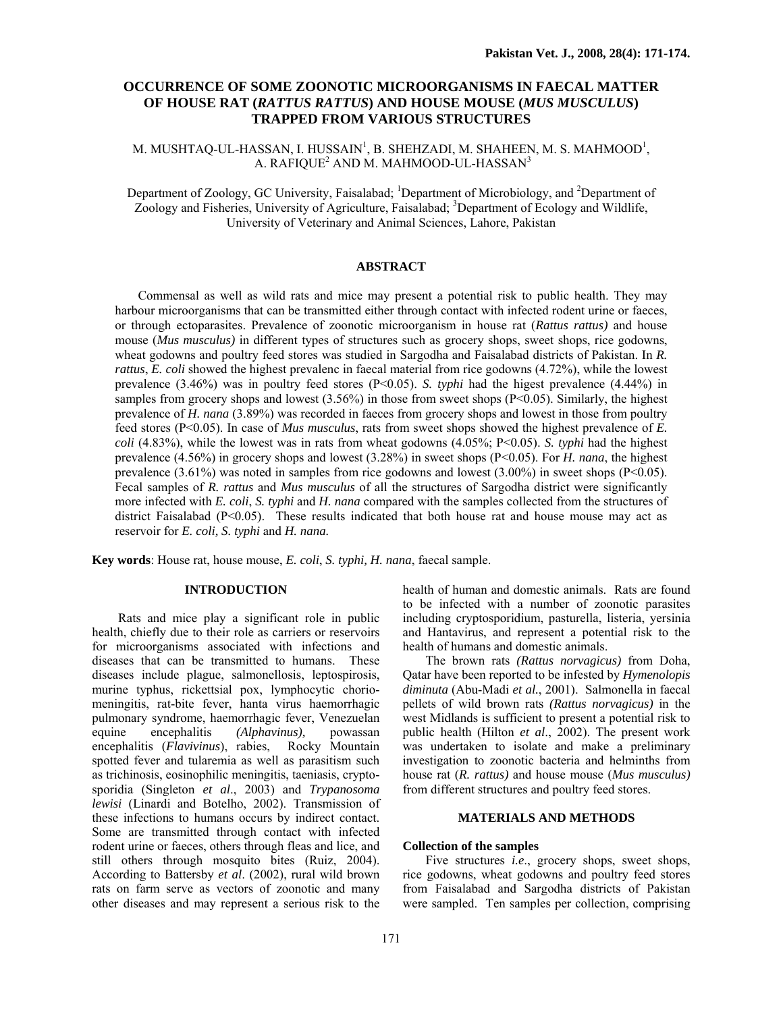# **OCCURRENCE OF SOME ZOONOTIC MICROORGANISMS IN FAECAL MATTER OF HOUSE RAT (***RATTUS RATTUS***) AND HOUSE MOUSE (***MUS MUSCULUS***) TRAPPED FROM VARIOUS STRUCTURES**

M. MUSHTAQ-UL-HASSAN, I. HUSSAIN<sup>1</sup>, B. SHEHZADI, M. SHAHEEN, M. S. MAHMOOD<sup>1</sup>, A. RAFIQUE<sup>2</sup> AND M. MAHMOOD-UL-HASSAN<sup>3</sup>

Department of Zoology, GC University, Faisalabad; <sup>1</sup>Department of Microbiology, and <sup>2</sup>Department of Zoology and Fisheries, University of Agriculture, Faisalabad; <sup>3</sup>Department of Ecology and Wildlife, University of Veterinary and Animal Sciences, Lahore, Pakistan

## **ABSTRACT**

Commensal as well as wild rats and mice may present a potential risk to public health. They may harbour microorganisms that can be transmitted either through contact with infected rodent urine or faeces, or through ectoparasites. Prevalence of zoonotic microorganism in house rat (*Rattus rattus)* and house mouse (*Mus musculus)* in different types of structures such as grocery shops, sweet shops, rice godowns, wheat godowns and poultry feed stores was studied in Sargodha and Faisalabad districts of Pakistan. In *R. rattus*, *E. coli* showed the highest prevalenc in faecal material from rice godowns (4.72%), while the lowest prevalence (3.46%) was in poultry feed stores (P<0.05). *S. typhi* had the higest prevalence (4.44%) in samples from grocery shops and lowest  $(3.56\%)$  in those from sweet shops (P<0.05). Similarly, the highest prevalence of *H. nana* (3.89%) was recorded in faeces from grocery shops and lowest in those from poultry feed stores (P<0.05). In case of *Mus musculus*, rats from sweet shops showed the highest prevalence of *E. coli* (4.83%), while the lowest was in rats from wheat godowns (4.05%; P<0.05). *S. typhi* had the highest prevalence (4.56%) in grocery shops and lowest (3.28%) in sweet shops (P<0.05). For *H. nana*, the highest prevalence  $(3.61\%)$  was noted in samples from rice godowns and lowest  $(3.00\%)$  in sweet shops (P<0.05). Fecal samples of *R. rattus* and *Mus musculus* of all the structures of Sargodha district were significantly more infected with *E. coli*, *S. typhi* and *H. nana* compared with the samples collected from the structures of district Faisalabad  $(P<0.05)$ . These results indicated that both house rat and house mouse may act as reservoir for *E. coli, S. typhi* and *H. nana.* 

**Key words**: House rat, house mouse, *E. coli*, *S. typhi, H. nana*, faecal sample.

## **INTRODUCTION**

 Rats and mice play a significant role in public health, chiefly due to their role as carriers or reservoirs for microorganisms associated with infections and diseases that can be transmitted to humans. These diseases include plague, salmonellosis, leptospirosis, murine typhus, rickettsial pox, lymphocytic choriomeningitis, rat-bite fever, hanta virus haemorrhagic pulmonary syndrome, haemorrhagic fever, Venezuelan equine encephalitis *(Alphavinus),* powassan encephalitis (*Flavivinus*), rabies, Rocky Mountain spotted fever and tularemia as well as parasitism such as trichinosis, eosinophilic meningitis, taeniasis, cryptosporidia (Singleton *et al*., 2003) and *Trypanosoma lewisi* (Linardi and Botelho, 2002). Transmission of these infections to humans occurs by indirect contact. Some are transmitted through contact with infected rodent urine or faeces, others through fleas and lice, and still others through mosquito bites (Ruiz, 2004). According to Battersby *et al*. (2002), rural wild brown rats on farm serve as vectors of zoonotic and many other diseases and may represent a serious risk to the

health of human and domestic animals. Rats are found to be infected with a number of zoonotic parasites including cryptosporidium, pasturella, listeria, yersinia and Hantavirus, and represent a potential risk to the health of humans and domestic animals.

The brown rats *(Rattus norvagicus)* from Doha, Qatar have been reported to be infested by *Hymenolopis diminuta* (Abu-Madi *et al.*, 2001). Salmonella in faecal pellets of wild brown rats *(Rattus norvagicus)* in the west Midlands is sufficient to present a potential risk to public health (Hilton *et al*., 2002). The present work was undertaken to isolate and make a preliminary investigation to zoonotic bacteria and helminths from house rat (*R. rattus)* and house mouse (*Mus musculus)* from different structures and poultry feed stores.

## **MATERIALS AND METHODS**

#### **Collection of the samples**

Five structures *i.e*., grocery shops, sweet shops, rice godowns, wheat godowns and poultry feed stores from Faisalabad and Sargodha districts of Pakistan were sampled. Ten samples per collection, comprising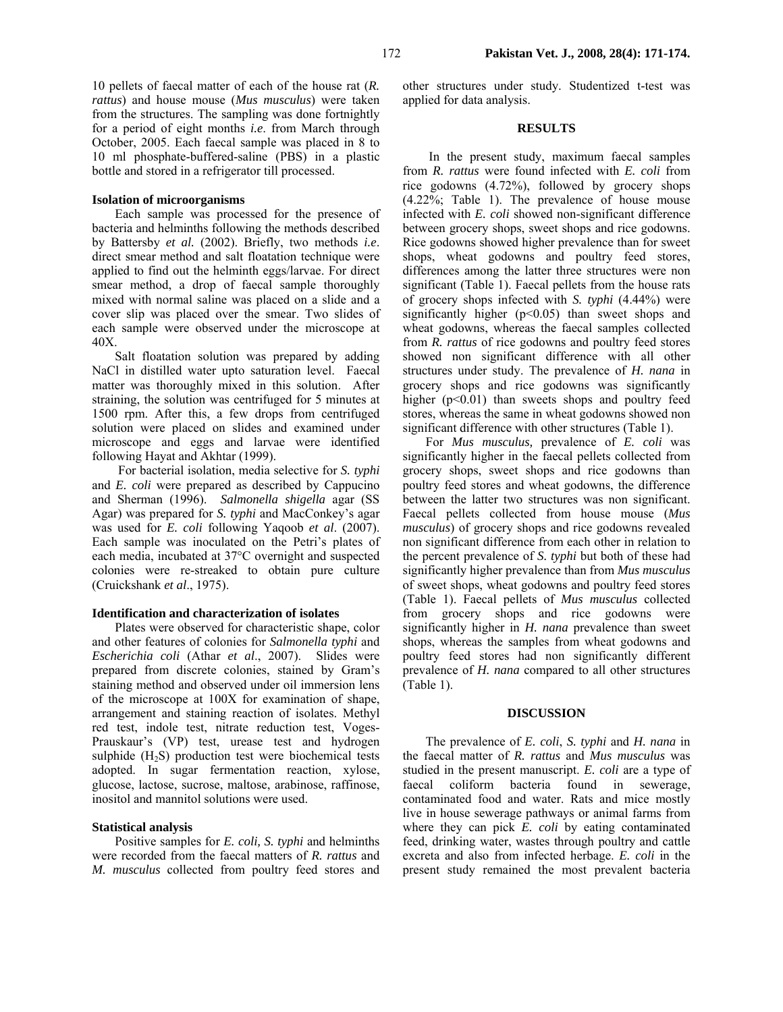10 pellets of faecal matter of each of the house rat (*R. rattus*) and house mouse (*Mus musculus*) were taken from the structures. The sampling was done fortnightly for a period of eight months *i.e*. from March through October, 2005. Each faecal sample was placed in 8 to 10 ml phosphate-buffered-saline (PBS) in a plastic bottle and stored in a refrigerator till processed.

## **Isolation of microorganisms**

Each sample was processed for the presence of bacteria and helminths following the methods described by Battersby *et al.* (2002). Briefly, two methods *i.e*. direct smear method and salt floatation technique were applied to find out the helminth eggs/larvae. For direct smear method, a drop of faecal sample thoroughly mixed with normal saline was placed on a slide and a cover slip was placed over the smear. Two slides of each sample were observed under the microscope at 40X.

Salt floatation solution was prepared by adding NaCl in distilled water upto saturation level. Faecal matter was thoroughly mixed in this solution. After straining, the solution was centrifuged for 5 minutes at 1500 rpm. After this, a few drops from centrifuged solution were placed on slides and examined under microscope and eggs and larvae were identified following Hayat and Akhtar (1999).

 For bacterial isolation, media selective for *S. typhi* and *E. coli* were prepared as described by Cappucino and Sherman (1996). *Salmonella shigella* agar (SS Agar) was prepared for *S. typhi* and MacConkey's agar was used for *E. coli* following Yaqoob *et al*. (2007). Each sample was inoculated on the Petri's plates of each media, incubated at 37°C overnight and suspected colonies were re-streaked to obtain pure culture (Cruickshank *et al*., 1975).

#### **Identification and characterization of isolates**

Plates were observed for characteristic shape, color and other features of colonies for *Salmonella typhi* and *Escherichia coli* (Athar *et al*., 2007). Slides were prepared from discrete colonies, stained by Gram's staining method and observed under oil immersion lens of the microscope at 100X for examination of shape, arrangement and staining reaction of isolates. Methyl red test, indole test, nitrate reduction test, Voges-Prauskaur's (VP) test, urease test and hydrogen sulphide  $(H<sub>2</sub>S)$  production test were biochemical tests adopted. In sugar fermentation reaction, xylose, glucose, lactose, sucrose, maltose, arabinose, raffinose, inositol and mannitol solutions were used.

### **Statistical analysis**

Positive samples for *E. coli, S. typhi* and helminths were recorded from the faecal matters of *R. rattus* and *M. musculus* collected from poultry feed stores and other structures under study. Studentized t-test was applied for data analysis.

### **RESULTS**

 In the present study, maximum faecal samples from *R. rattus* were found infected with *E. coli* from rice godowns (4.72%), followed by grocery shops (4.22%; Table 1). The prevalence of house mouse infected with *E. coli* showed non-significant difference between grocery shops, sweet shops and rice godowns. Rice godowns showed higher prevalence than for sweet shops, wheat godowns and poultry feed stores, differences among the latter three structures were non significant (Table 1). Faecal pellets from the house rats of grocery shops infected with *S. typhi* (4.44%) were significantly higher  $(p<0.05)$  than sweet shops and wheat godowns, whereas the faecal samples collected from *R. rattus* of rice godowns and poultry feed stores showed non significant difference with all other structures under study. The prevalence of *H. nana* in grocery shops and rice godowns was significantly higher (p<0.01) than sweets shops and poultry feed stores, whereas the same in wheat godowns showed non significant difference with other structures (Table 1).

For *Mus musculus,* prevalence of *E. coli* was significantly higher in the faecal pellets collected from grocery shops, sweet shops and rice godowns than poultry feed stores and wheat godowns, the difference between the latter two structures was non significant. Faecal pellets collected from house mouse (*Mus musculus*) of grocery shops and rice godowns revealed non significant difference from each other in relation to the percent prevalence of *S. typhi* but both of these had significantly higher prevalence than from *Mus musculus* of sweet shops, wheat godowns and poultry feed stores (Table 1). Faecal pellets of *Mus musculus* collected from grocery shops and rice godowns were significantly higher in *H. nana* prevalence than sweet shops, whereas the samples from wheat godowns and poultry feed stores had non significantly different prevalence of *H. nana* compared to all other structures (Table 1).

#### **DISCUSSION**

The prevalence of *E. coli*, *S. typhi* and *H. nana* in the faecal matter of *R. rattus* and *Mus musculus* was studied in the present manuscript. *E. coli* are a type of faecal coliform bacteria found in sewerage, contaminated food and water. Rats and mice mostly live in house sewerage pathways or animal farms from where they can pick *E. coli* by eating contaminated feed, drinking water, wastes through poultry and cattle excreta and also from infected herbage. *E. coli* in the present study remained the most prevalent bacteria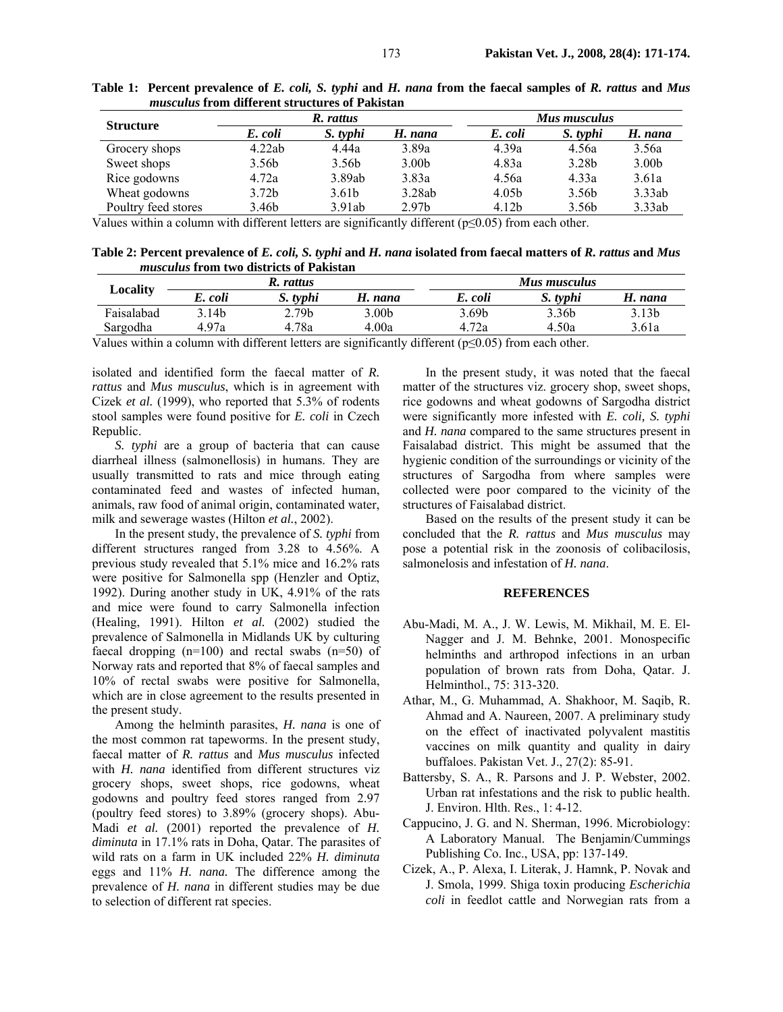| <i>hvwycwwwy al</i> olif willel chle yel wevul ey of a mindvuil |                   |                   |                   |              |                   |                   |  |  |  |
|-----------------------------------------------------------------|-------------------|-------------------|-------------------|--------------|-------------------|-------------------|--|--|--|
|                                                                 | R. rattus         |                   |                   | Mus musculus |                   |                   |  |  |  |
| <b>Structure</b>                                                | E. coli           | S. typhi          | H. nana           | E. coli      | S. typhi          | H. nana           |  |  |  |
| Grocery shops                                                   | 4.22ab            | 4.44a             | 3.89a             | 4.39a        | 4.56a             | 3.56a             |  |  |  |
| Sweet shops                                                     | 3.56b             | 3.56 <sub>b</sub> | 3.00 <sub>b</sub> | 4.83a        | 3.28 <sub>b</sub> | 3.00 <sub>b</sub> |  |  |  |
| Rice godowns                                                    | 4.72a             | 3.89ab            | 3.83a             | 4.56a        | 4.33a             | 3.61a             |  |  |  |
| Wheat godowns                                                   | 3.72 <sub>b</sub> | 3.61 <sub>b</sub> | 3.28ab            | 4.05b        | 3.56b             | 3.33ab            |  |  |  |
| Poultry feed stores                                             | 3.46b             | 3.91ab            | 2.97 <sub>b</sub> | 4.12b        | 3.56 <sub>b</sub> | 3.33ab            |  |  |  |

**Table 1: Percent prevalence of** *E. coli, S. typhi* **and** *H. nana* **from the faecal samples of** *R. rattus* **and** *Mus musculus* **from different structures of Pakistan** 

Values within a column with different letters are significantly different ( $p \le 0.05$ ) from each other.

**Table 2: Percent prevalence of** *E. coli, S. typhi* **and** *H. nana* **isolated from faecal matters of** *R. rattus* **and** *Mus musculus* **from two districts of Pakistan** 

| $\boldsymbol{\mathsf{\scriptstyle{\mathsf{LO}}}$ cality |         | R. rattus                 |                                                          |                       | Mus musculus |                   |
|---------------------------------------------------------|---------|---------------------------|----------------------------------------------------------|-----------------------|--------------|-------------------|
|                                                         | E. coli | S. typhi                  | H. nana                                                  | E. coli               | S. typhi     | H. nana           |
| Faisalabad                                              | 3.14b   | 2.79b                     | 3.00 <sub>b</sub>                                        | 3.69 <sub>b</sub>     | 3.36b        | 3.13 <sub>b</sub> |
| Sargodha                                                | 4.97a   | 4.78a                     | 4.00a                                                    | 4.72a                 | 4.50a        | 3.61a             |
| $\cdot$ . $\cdot$<br>T 7 1                              |         | $\cdot$ 1 $\cdot$ $\cdot$ | $\cdot$ $\sim$<br>$\mathbf{1}$ $\mathbf{1}$ $\mathbf{0}$ | $\sqrt{2}$ $\sqrt{2}$ |              |                   |

Values within a column with different letters are significantly different ( $p \le 0.05$ ) from each other.

isolated and identified form the faecal matter of *R. rattus* and *Mus musculus*, which is in agreement with Cizek *et al.* (1999), who reported that 5.3% of rodents stool samples were found positive for *E. coli* in Czech Republic.

*S. typhi* are a group of bacteria that can cause diarrheal illness (salmonellosis) in humans. They are usually transmitted to rats and mice through eating contaminated feed and wastes of infected human, animals, raw food of animal origin, contaminated water, milk and sewerage wastes (Hilton *et al.*, 2002).

In the present study, the prevalence of *S. typhi* from different structures ranged from 3.28 to 4.56%. A previous study revealed that 5.1% mice and 16.2% rats were positive for Salmonella spp (Henzler and Optiz, 1992). During another study in UK, 4.91% of the rats and mice were found to carry Salmonella infection (Healing, 1991). Hilton *et al.* (2002) studied the prevalence of Salmonella in Midlands UK by culturing faecal dropping  $(n=100)$  and rectal swabs  $(n=50)$  of Norway rats and reported that 8% of faecal samples and 10% of rectal swabs were positive for Salmonella, which are in close agreement to the results presented in the present study.

Among the helminth parasites, *H. nana* is one of the most common rat tapeworms. In the present study, faecal matter of *R. rattus* and *Mus musculus* infected with *H. nana* identified from different structures viz grocery shops, sweet shops, rice godowns, wheat godowns and poultry feed stores ranged from 2.97 (poultry feed stores) to 3.89% (grocery shops). Abu-Madi *et al.* (2001) reported the prevalence of *H*. *diminuta* in 17.1% rats in Doha, Qatar. The parasites of wild rats on a farm in UK included 22% *H. diminuta* eggs and 11% *H. nana.* The difference among the prevalence of *H. nana* in different studies may be due to selection of different rat species.

In the present study, it was noted that the faecal matter of the structures viz. grocery shop, sweet shops, rice godowns and wheat godowns of Sargodha district were significantly more infested with *E. coli, S. typhi*  and *H. nana* compared to the same structures present in Faisalabad district. This might be assumed that the hygienic condition of the surroundings or vicinity of the structures of Sargodha from where samples were collected were poor compared to the vicinity of the structures of Faisalabad district.

Based on the results of the present study it can be concluded that the *R. rattus* and *Mus musculus* may pose a potential risk in the zoonosis of colibacilosis, salmonelosis and infestation of *H. nana*.

### **REFERENCES**

- Abu-Madi, M. A., J. W. Lewis, M. Mikhail, M. E. El-Nagger and J. M. Behnke, 2001. Monospecific helminths and arthropod infections in an urban population of brown rats from Doha, Qatar. J. Helminthol., 75: 313-320.
- Athar, M., G. Muhammad, A. Shakhoor, M. Saqib, R. Ahmad and A. Naureen, 2007. A preliminary study on the effect of inactivated polyvalent mastitis vaccines on milk quantity and quality in dairy buffaloes. Pakistan Vet. J., 27(2): 85-91.
- Battersby, S. A., R. Parsons and J. P. Webster, 2002. Urban rat infestations and the risk to public health. J. Environ. Hlth. Res., 1: 4-12.
- Cappucino, J. G. and N. Sherman, 1996. Microbiology: A Laboratory Manual. The Benjamin/Cummings Publishing Co. Inc., USA, pp: 137-149.
- Cizek, A., P. Alexa, I. Literak, J. Hamnk, P. Novak and J. Smola, 1999. Shiga toxin producing *Escherichia coli* in feedlot cattle and Norwegian rats from a